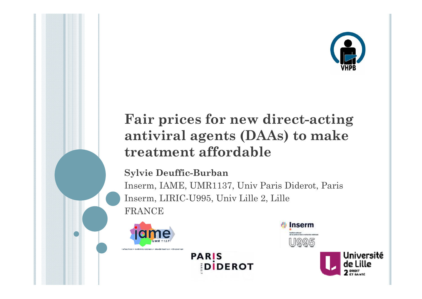

# **Fair prices for new direct-acting antiviral agents (DAAs) to make treatment affordable**

#### **Sylvie Deuffic-Burban**

Inserm, IAME, UMR1137, Univ Paris Diderot, Paris Inserm, LIRIC-U995, Univ Lille 2, Lille FRANCE





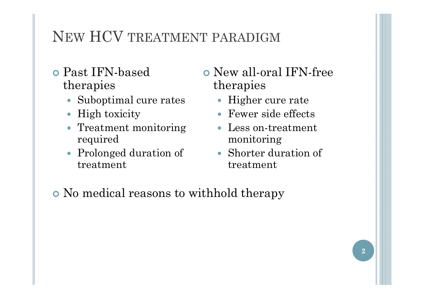# NEW HCV TREATMENT PARADIGM

- Past IFN-based therapies
	- Suboptimal cure rates
	- High toxicity
	- Treatment monitoring required
	- Prolonged duration of treatment
- New all-oral IFN-free therapies
	- Higher cure rate
	- Fewer side effects
	- Less on-treatment monitoring
	- Shorter duration of treatment

No medical reasons to withhold therapy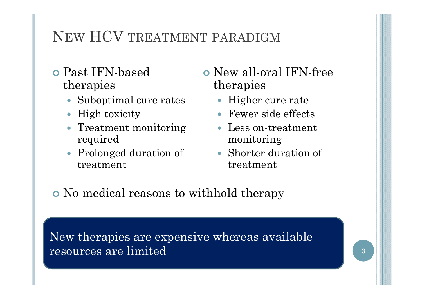# NEW HCV TREATMENT PARADIGM

- Past IFN-based therapies
	- Suboptimal cure rates
	- High toxicity
	- Treatment monitoring required
	- Prolonged duration of treatment
- New all-oral IFN-free therapies
	- Higher cure rate
	- Fewer side effects
	- Less on-treatment monitoring
	- Shorter duration of treatment

No medical reasons to withhold therapy

New therapies are expensive whereas available resources are limited

**3**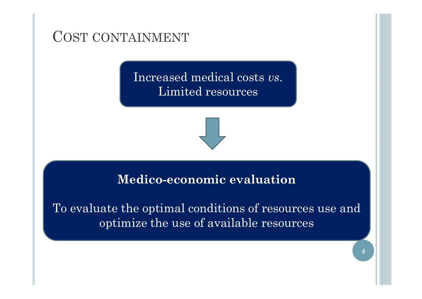COST CONTAINMENT

Increased medical costs *vs*. Limited resources



#### **Medico-economic evaluation**

To evaluate the optimal conditions of resources use and optimize the use of available resources

**4**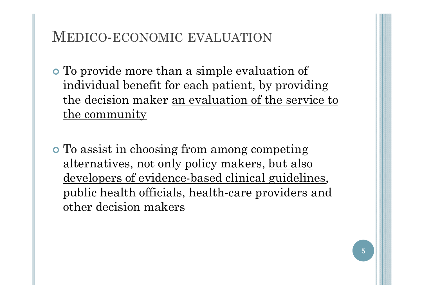## MEDICO-ECONOMIC EVALUATION

- To provide more than a simple evaluation of individual benefit for each patient, by providing the decision maker an evaluation of the service to the community
- To assist in choosing from among competing alternatives, not only policy makers, but also developers of evidence-based clinical guidelines, public health officials, health-care providers and other decision makers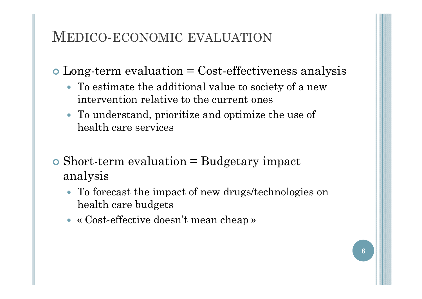## MEDICO-ECONOMIC EVALUATION

Long-term evaluation = Cost-effectiveness analysis

- To estimate the additional value to society of a new intervention relative to the current ones
- To understand, prioritize and optimize the use of health care services
- Short-term evaluation = Budgetary impact analysis
	- To forecast the impact of new drugs/technologies on health care budgets
	- « Cost-effective doesn't mean cheap »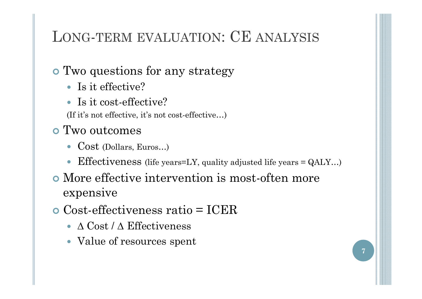# LONG-TERM EVALUATION: CE ANALYSIS

## Two questions for any strategy

- Is it effective?
- Is it cost-effective?

(If it's not effective, it's not cost-effective…)

#### Two outcomes

- Cost (Dollars, Euros…)
- 0 Effectiveness (life years=LY, quality adjusted life years = QALY…)
- More effective intervention is most-often more expensive
- Cost-effectiveness ratio = ICER
	- ∆ Cost / ∆ Effectiveness
	- Value of resources spent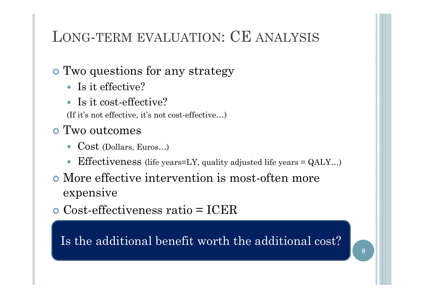# LONG-TERM EVALUATION: CE ANALYSIS

## Two questions for any strategy

- Is it effective?
- Is it cost-effective?

(If it's not effective, it's not cost-effective…)

#### Two outcomes

- Cost (Dollars, Euros…)
- $\bullet$ Effectiveness (life years=LY, quality adjusted life years = QALY…)
- More effective intervention is most-often more expensive

Cost-effectiveness ratio = ICER

Is the additional benefit worth the additional  $\mathrm{cost?}$ 

**8**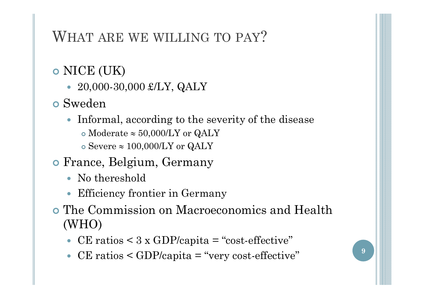# WHAT ARE WE WILLING TO PAY?

## NICE (UK)

- $\bullet$  20,000-30,000 £/LY, QALY
- Sweden
	- Informal, according to the severity of the disease
		- $\bullet$  Moderate  $\approx 50,\!000$ /LY or QALY
		- $\circ$  Severe  $\approx 100,\!000$ /LY or QALY
- France, Belgium, Germany
	- No thereshold
	- Efficiency frontier in Germany
- The Commission on Macroeconomics and Health (WHO)
	- CE ratios  $\leq 3 \times$  GDP/capita = "cost-effective"
	- $\bullet$ CE ratios  $\leq$  GDP/capita = "very cost-effective"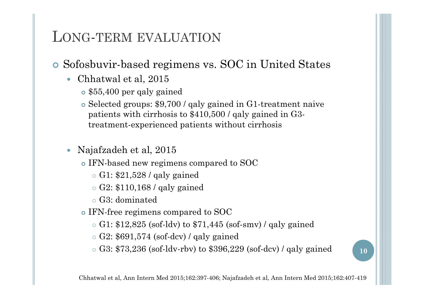- Sofosbuvir-based regimens vs. SOC in United States
	- Chhatwal et al, 2015
		- \$55,400 per qaly gained
		- Selected groups: \$9,700 / qaly gained in G1-treatment naive patients with cirrhosis to \$410,500 / qaly gained in G3 treatment-experienced patients without cirrhosis
	- 0 Najafzadeh et al, 2015
		- IFN-based new regimens compared to SOC
			- G1: \$21,528 / qaly gained
			- G2: \$110,168 / qaly gained
			- G3: dominated
		- IFN-free regimens compared to SOC
			- G1: \$12,825 (sof-ldv) to \$71,445 (sof-smv) / qaly gained
			- G2: \$691,574 (sof-dcv) / qaly gained
			- G3: \$73,236 (sof-ldv-rbv) to \$396,229 (sof-dcv) / qaly gained **<sup>10</sup>**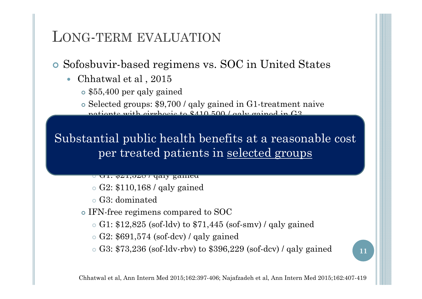#### Sofosbuvir-based regimens vs. SOC in United States

- Chhatwal et al , 2015
	- \$55,400 per qaly gained
	- Selected groups: \$9,700 / qaly gained in G1-treatment naive patiants with circhosis to \$410,500 / raly gained in G3-

#### per treated patients in selected groups Substantial public health benefits at a reasonable cost

- <mark>∪ u1. φ41,040 / yaly gaineu</mark>
- G2: \$110,168 / qaly gained
- G3: dominated
- IFN-free regimens compared to SOC
	- G1: \$12,825 (sof-ldv) to \$71,445 (sof-smv) / qaly gained
	- G2: \$691,574 (sof-dcv) / qaly gained
	- G3: \$73,236 (sof-ldv-rbv) to \$396,229 (sof-dcv) / qaly gained **<sup>11</sup>**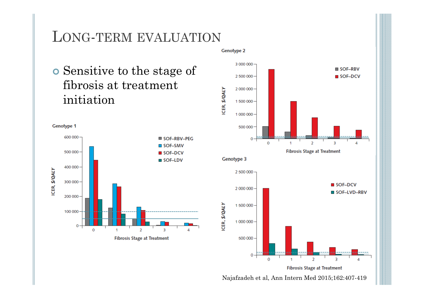**o** Sensitive to the stage of fibrosis at treatment initiation



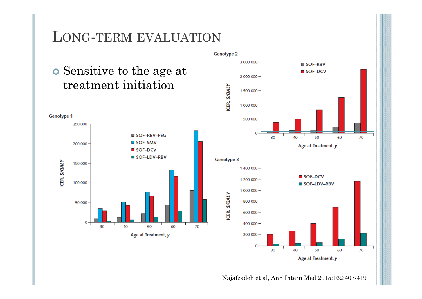





Najafzadeh et al, Ann Intern Med 2015;162:407-419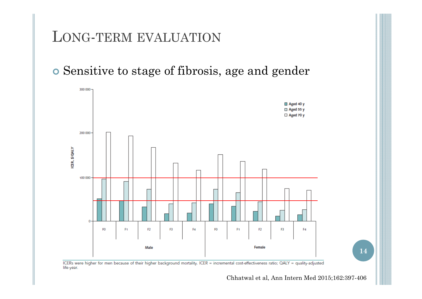Sensitive to stage of fibrosis, age and gender



ICERs were higher for men because of their higher background mortality. ICER = incremental cost-effectiveness ratio; QALY = quality-adjusted life-year.

Chhatwal et al, Ann Intern Med 2015;162:397-406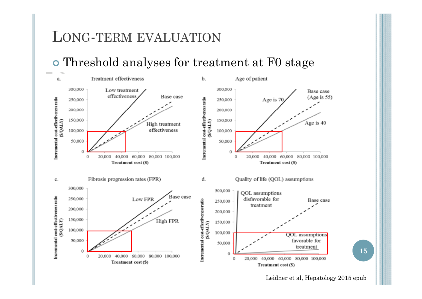#### Threshold analyses for treatment at F0 stage



Leidner et al, Hepatology 2015 epub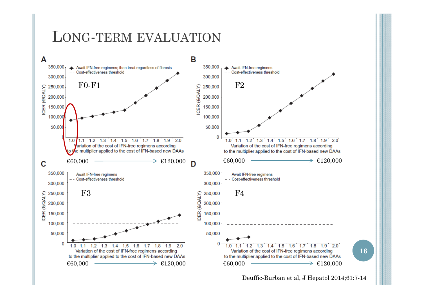

Deuffic-Burban et al, J Hepatol 2014;61:7-14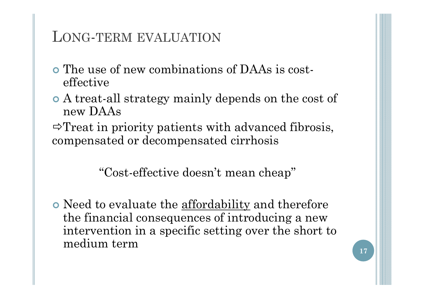- The use of new combinations of DAAs is costeffective
- A treat-all strategy mainly depends on the cost of new DAAs
- $\Rightarrow$  Treat in priority patients with advanced fibrosis, compensated or decompensated cirrhosis

"Cost-effective doesn't mean cheap"

• Need to evaluate the <u>affordability</u> and therefore the financial consequences of introducing a new intervention in a specific setting over the short to medium term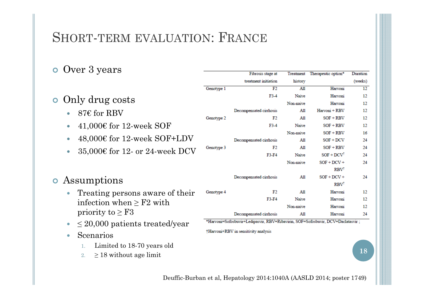## SHORT-TERM EVALUATION: FRANCE

#### o Over 3 years

| ັ                                                                                                      |                                                                                 | Piorosis stage at       |              | reatment readed the option  | <b>Duration</b> |
|--------------------------------------------------------------------------------------------------------|---------------------------------------------------------------------------------|-------------------------|--------------|-----------------------------|-----------------|
|                                                                                                        |                                                                                 | treatment initiation    | history      |                             | (weeks)         |
|                                                                                                        | Genotype 1                                                                      | F2                      | A11          | Harvoni                     | 12              |
| Only drug costs<br>$\bullet$                                                                           |                                                                                 | $F3-4$                  | Naive        | Harvoni                     | 12              |
|                                                                                                        |                                                                                 |                         | Non-naive    | Harvoni                     | 12              |
| $876$ for RBV                                                                                          |                                                                                 | Decompensated cirrhosis | All          | Harvoni + RBV               | 12              |
|                                                                                                        | Genotype 2                                                                      | F2                      | A11          | $SOF + RBV$                 | 12              |
| 41,000€ for 12-week SOF<br>$\bullet$                                                                   |                                                                                 | $F3-4$                  | <b>Naive</b> | $SOF + RBV$                 | 12              |
| $48,000€$ for 12-week SOF+LDV<br>$\bullet$<br>35,000€ for 12- or 24-week DCV<br>$\bullet$              |                                                                                 |                         | Non-naive    | $SOF + RBV$                 | 16              |
|                                                                                                        |                                                                                 | Decompensated cirrhosis | A11          | $SOF + DCV$                 | 24              |
|                                                                                                        | Genotype 3                                                                      | F2                      | All          | $SOF + RBV$                 | 24              |
|                                                                                                        |                                                                                 | F3-F4                   | <b>Naive</b> | $SOF + DCVT$                | 24              |
|                                                                                                        |                                                                                 |                         | Non-naive    | $SOF + DCV +$               | 24              |
|                                                                                                        |                                                                                 |                         | A11          | <b>RBV</b><br>$SOF + DCV +$ | 24              |
| Assumptions<br>$\bullet$                                                                               |                                                                                 | Decompensated cirrhosis |              | <b>RBV</b>                  |                 |
| Treating persons aware of their<br>$\bullet$<br>infection when $\geq$ F2 with<br>priority to $\geq$ F3 | Genotype 4                                                                      | F2                      | A11          | Harvoni                     | 12              |
|                                                                                                        |                                                                                 | F3-F4                   | <b>Naive</b> | Harvoni                     | 12              |
|                                                                                                        |                                                                                 |                         | Non-naive    | Harvoni                     | 12              |
|                                                                                                        |                                                                                 | Decompensated cirrhosis | A11          | Harvoni                     | 24              |
| $\leq$ 20,000 patients treated/year                                                                    | *Harvoni=Sofosbuvir+Ledipasvir, RBV=Ribavirin, SOF=Sofosbuvir, DCV=Daclatasvir; |                         |              |                             |                 |
|                                                                                                        | †Harvoni+RBV in sensitivity analysis                                            |                         |              |                             |                 |
| Scenarios<br>$\bullet$                                                                                 |                                                                                 |                         |              |                             |                 |
| Limited to 18-70 years old<br>1.                                                                       |                                                                                 |                         |              |                             |                 |
| $\geq$ 18 without age limit<br>2.                                                                      |                                                                                 |                         |              |                             | 18              |
|                                                                                                        |                                                                                 |                         |              |                             |                 |
|                                                                                                        |                                                                                 |                         |              |                             |                 |

Deuffic-Burban et al, Hepatology 2014:1040A (AASLD 2014; poster 1749)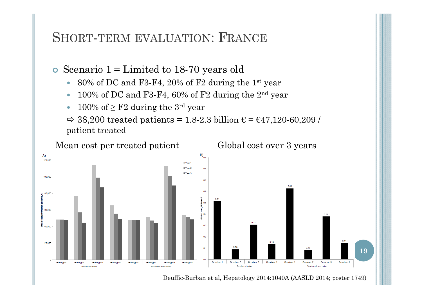#### SHORT-TERM EVALUATION: FRANCE

 $\bullet$ Scenario 1 = Limited to 18-70 years old

- $\bullet$ 80% of DC and F3-F4, 20% of F2 during the 1st year
- $\bullet$ 100% of DC and F3-F4, 60% of F2 during the 2nd year
- $\bullet$ 100% of  $\geq$  F2 during the 3<sup>rd</sup> year

 $\Rightarrow$  38,200 treated patients = 1.8-2.3 billion  $\epsilon$  =  $\epsilon$ 47,120-60,209 / patient treated



Deuffic-Burban et al, Hepatology 2014:1040A (AASLD 2014; poster 1749)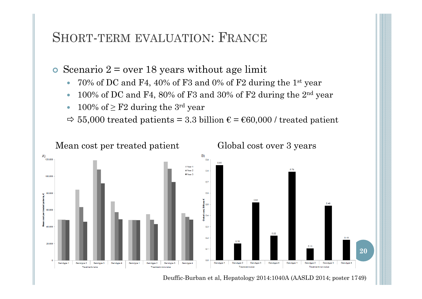#### SHORT-TERM EVALUATION: FRANCE

 $\bullet$ Scenario  $2 = over 18$  years without age limit

- $\bullet$ 70% of DC and F4, 40% of F3 and 0% of F2 during the 1st year
- 0 100% of DC and F4, 80% of F3 and 30% of F2 during the 2nd year
- $\bullet$ 100% of  $\geq$  F2 during the 3<sup>rd</sup> year

 $\Rightarrow$  55,000 treated patients = 3.3 billion  $\epsilon$  =  $\epsilon$ 60,000 / treated patient



Deuffic-Burban et al, Hepatology 2014:1040A (AASLD 2014; poster 1749)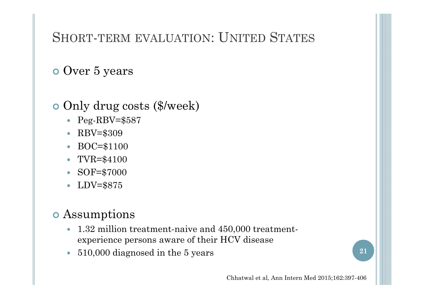## SHORT-TERM EVALUATION: UNITED STATES

## o Over 5 years

#### **o** Only drug costs (\$/week)

- Peg-RBV=\$587
- RBV=\$309
- $\bullet$ BOC=\$1100
- $\bullet$ TVR=\$4100
- $\bullet$ SOF=\$7000
- $\bullet$ LDV=\$875

#### Assumptions

- 1.32 million treatment-naive and 450,000 treatmentexperience persons aware of their HCV disease
- O 510,000 diagnosed in the 5 years **<sup>21</sup>**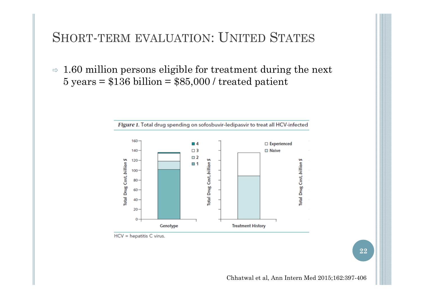#### SHORT-TERM EVALUATION: UNITED STATES

 $\Rightarrow$  1.60 million persons eligible for treatment during the next  $5 \text{ years} = $136 \text{ billion} = $85,000 \text{/} \text{treated patient}$ 



 $HCV = hepatitis C virus.$ 

**22**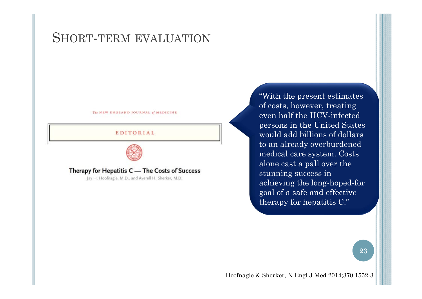#### SHORT-TERM EVALUATION

The NEW ENGLAND JOURNAL of MEDICINE

#### EDITORIAL



Therapy for Hepatitis C - The Costs of Success

Jay H. Hoofnagle, M.D., and Averell H. Sherker, M.D.

"With the present estimates of costs, however, treating even half the HCV-infected persons in the United States would add billions of dollars to an already overburdened medical care system. Costs alone cast a pall over the stunning success in achieving the long-hoped-for goal of a safe and effective therapy for hepatitis C."

**23**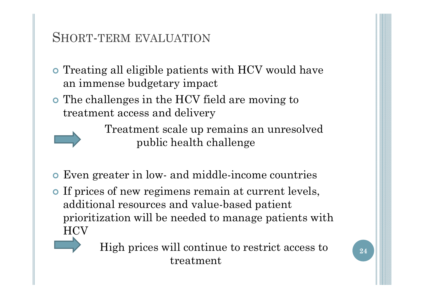#### SHORT-TERM EVALUATION

- **•** Treating all eligible patients with HCV would have an immense budgetary impact
- The challenges in the HCV field are moving to treatment access and delivery

Treatment scale up remains an unresolved public health challenge

- Even greater in low- and middle-income countries
- If prices of new regimens remain at current levels, additional resources and value-based patient prioritization will be needed to manage patients with  $\rm{HCV}$



High prices will continue to restrict access to treatment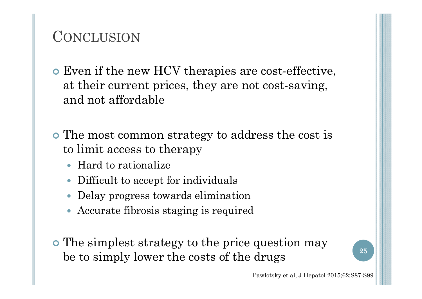# **CONCLUSION**

- Even if the new HCV therapies are cost-effective, at their current prices, they are not cost-saving, and not affordable
- The most common strategy to address the cost is to limit access to therapy
	- Hard to rationalize
	- $\bullet$ Difficult to accept for individuals
	- $\bullet$ Delay progress towards elimination
	- Accurate fibrosis staging is required
- The simplest strategy to the price question may be to simply lower the costs of the drugs  $\frac{1}{25}$